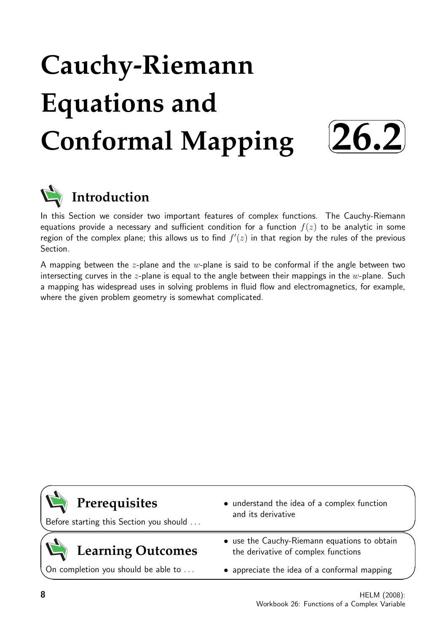# **Cauchy-Riemann Equations and Conformal Mapping**  $\sqrt{2}$ ✒ **26.2**✑



## **Introduction**

In this Section we consider two important features of complex functions. The Cauchy-Riemann equations provide a necessary and sufficient condition for a function  $f(z)$  to be analytic in some region of the complex plane; this allows us to find  $f'(z)$  in that region by the rules of the previous Section.

A mapping between the  $z$ -plane and the  $w$ -plane is said to be conformal if the angle between two intersecting curves in the z-plane is equal to the angle between their mappings in the  $w$ -plane. Such a mapping has widespread uses in solving problems in fluid flow and electromagnetics, for example, where the given problem geometry is somewhat complicated.



✏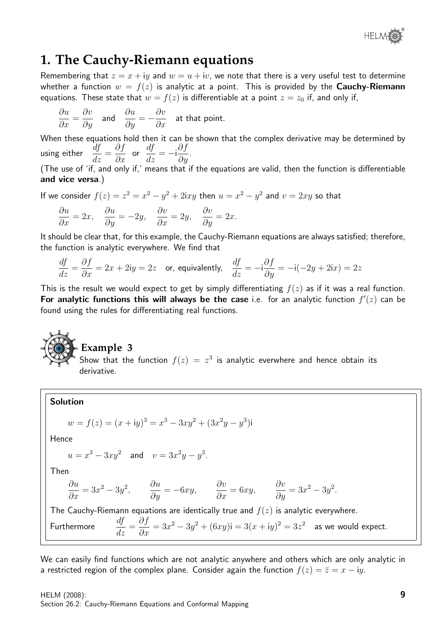

### **1. The Cauchy-Riemann equations**

Remembering that  $z = x + iy$  and  $w = u + iv$ , we note that there is a very useful test to determine whether a function  $w = f(z)$  is analytic at a point. This is provided by the **Cauchy-Riemann** equations. These state that  $w = f(z)$  is differentiable at a point  $z = z_0$  if, and only if,

$$
\frac{\partial u}{\partial x} = \frac{\partial v}{\partial y} \quad \text{and} \quad \frac{\partial u}{\partial y} = -\frac{\partial v}{\partial x} \quad \text{at that point.}
$$

When these equations hold then it can be shown that the complex derivative may be determined by using either  $\frac{dy}{dz} =$ ∂f  $rac{\sigma}{\partial x}$  or  $\frac{df}{dz} = -i \frac{\partial f}{\partial y}$  $rac{\partial y}{\partial y}$ .

(The use of 'if, and only if,' means that if the equations are valid, then the function is differentiable and vice versa.)

If we consider  $f(z) = z^2 = x^2 - y^2 + 2ixy$  then  $u = x^2 - y^2$  and  $v = 2xy$  so that

$$
\frac{\partial u}{\partial x} = 2x, \quad \frac{\partial u}{\partial y} = -2y, \quad \frac{\partial v}{\partial x} = 2y, \quad \frac{\partial v}{\partial y} = 2x.
$$

It should be clear that, for this example, the Cauchy-Riemann equations are always satisfied; therefore, the function is analytic everywhere. We find that

$$
\frac{df}{dz} = \frac{\partial f}{\partial x} = 2x + 2\mathbf{i}y = 2z \quad \text{or, equivalently,} \quad \frac{df}{dz} = -\mathbf{i}\frac{\partial f}{\partial y} = -\mathbf{i}(-2y + 2\mathbf{i}x) = 2z
$$

This is the result we would expect to get by simply differentiating  $f(z)$  as if it was a real function. For analytic functions this will always be the case i.e. for an analytic function  $f'(z)$  can be found using the rules for differentiating real functions.

## **Example 3**

Show that the function  $f(z) = z^3$  is analytic everwhere and hence obtain its derivative.

### Solution

$$
w = f(z) = (x + iy)^3 = x^3 - 3xy^2 + (3x^2y - y^3)i
$$

Hence

$$
u = x^3 - 3xy^2
$$
 and  $v = 3x^2y - y^3$ .

Then

$$
\frac{\partial u}{\partial x} = 3x^2 - 3y^2, \qquad \frac{\partial u}{\partial y} = -6xy, \qquad \frac{\partial v}{\partial x} = 6xy, \qquad \frac{\partial v}{\partial y} = 3x^2 - 3y^2.
$$

The Cauchy-Riemann equations are identically true and  $f(z)$  is analytic everywhere.

Furthermore 
$$
\frac{df}{dz} = \frac{\partial f}{\partial x} = 3x^2 - 3y^2 + (6xy)i = 3(x+iy)^2 = 3z^2
$$
 as we would expect.

We can easily find functions which are not analytic anywhere and others which are only analytic in a restricted region of the complex plane. Consider again the function  $f(z) = \overline{z} = x - iy$ .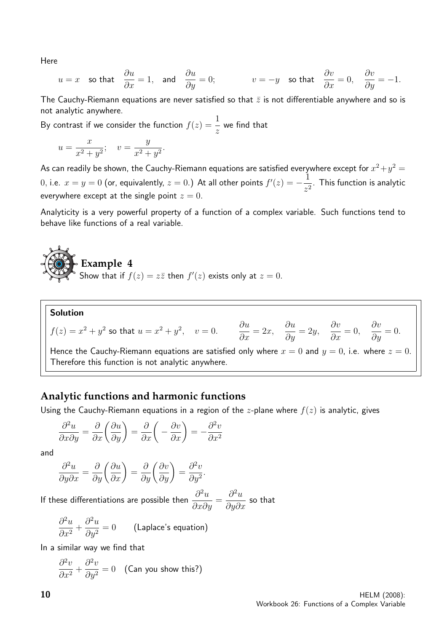Here

$$
u = x
$$
 so that  $\frac{\partial u}{\partial x} = 1$ , and  $\frac{\partial u}{\partial y} = 0$ ;  $v = -y$  so that  $\frac{\partial v}{\partial x} = 0$ ,  $\frac{\partial v}{\partial y} = -1$ .

The Cauchy-Riemann equations are never satisfied so that  $\bar{z}$  is not differentiable anywhere and so is not analytic anywhere.

By contrast if we consider the function  $f(z) = \frac{1}{z}$ z we find that

$$
u = \frac{x}{x^2 + y^2}; \quad v = \frac{y}{x^2 + y^2}.
$$

As can readily be shown, the Cauchy-Riemann equations are satisfied everywhere except for  $x^2+y^2=\,$  $x=0.$   $\alpha=0$  (or, equivalently,  $z=0.$  ) At all other points  $f'(z)=-\frac{1}{z}$  $\frac{1}{z^2}$ . This function is analytic everywhere except at the single point  $z = 0$ .

Analyticity is a very powerful property of a function of a complex variable. Such functions tend to behave like functions of a real variable.

## **Example 4** Show that if  $f(z) = z\overline{z}$  then  $f'(z)$  exists only at  $z = 0$ .

#### Solution  $f(z) = x^2 + y^2$  so that  $u = x^2 + y^2$ ,  $v = 0$ . ∂u  $\frac{\partial}{\partial x} = 2x,$ ∂u  $\frac{\partial u}{\partial y} = 2y,$  $\partial v$  $\frac{\partial}{\partial x} = 0,$  $\partial v$  $\frac{\partial v}{\partial y} = 0.$ Hence the Cauchy-Riemann equations are satisfied only where  $x = 0$  and  $y = 0$ , i.e. where  $z = 0$ . Therefore this function is not analytic anywhere.

### **Analytic functions and harmonic functions**

Using the Cauchy-Riemann equations in a region of the *z*-plane where  $f(z)$  is analytic, gives

$$
\frac{\partial^2 u}{\partial x \partial y} = \frac{\partial}{\partial x} \left( \frac{\partial u}{\partial y} \right) = \frac{\partial}{\partial x} \left( -\frac{\partial v}{\partial x} \right) = -\frac{\partial^2 v}{\partial x^2}
$$

and

$$
\frac{\partial^2 u}{\partial y \partial x} = \frac{\partial}{\partial y} \left( \frac{\partial u}{\partial x} \right) = \frac{\partial}{\partial y} \left( \frac{\partial v}{\partial y} \right) = \frac{\partial^2 v}{\partial y^2}.
$$

If these differentiations are possible then  $\frac{\partial^2 u}{\partial x^2}$  $\frac{\partial}{\partial x \partial y} =$  $\partial^2 u$  $\frac{\partial}{\partial y \partial x}$  so that

$$
\frac{\partial^2 u}{\partial x^2} + \frac{\partial^2 u}{\partial y^2} = 0
$$
 (Laplace's equation)

In a similar way we find that

$$
\frac{\partial^2 v}{\partial x^2} + \frac{\partial^2 v}{\partial y^2} = 0
$$
 (Can you show this?)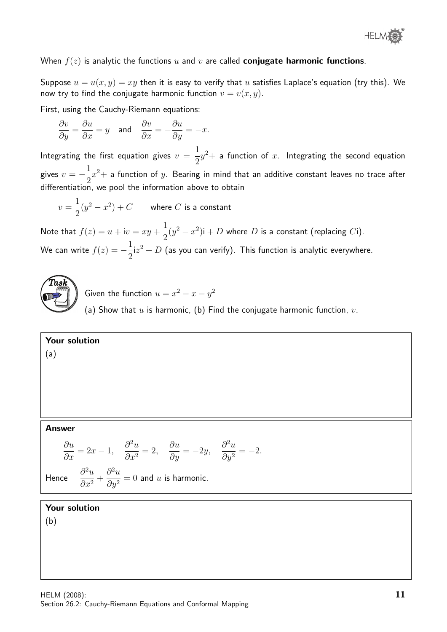

When  $f(z)$  is analytic the functions u and v are called **conjugate harmonic functions**.

Suppose  $u = u(x, y) = xy$  then it is easy to verify that u satisfies Laplace's equation (try this). We now try to find the conjugate harmonic function  $v = v(x, y)$ .

First, using the Cauchy-Riemann equations:

$$
\frac{\partial v}{\partial y} = \frac{\partial u}{\partial x} = y \quad \text{and} \quad \frac{\partial v}{\partial x} = -\frac{\partial u}{\partial y} = -x.
$$

Integrating the first equation gives  $v =$ 1 2  $y^2+$  a function of  $x$ . Integrating the second equation gives  $v = -\frac{1}{2}$ 2  $x^2+$  a function of  $y.$  Bearing in mind that an additive constant leaves no trace after differentiation, we pool the information above to obtain

$$
v = \frac{1}{2}(y^2 - x^2) + C
$$
 where *C* is a constant

Note that  $f(z) = u + iv = xy +$ 1 2  $(y^2 - x^2)i + D$  where D is a constant (replacing Ci). We can write  $f(z) = -\frac{1}{2}$ 2  $\mathrm{i} z^2+D$  (as you can verify). This function is analytic everywhere.



Given the function  $u = x^2 - x - y^2$ 

(a) Show that  $u$  is harmonic, (b) Find the conjugate harmonic function,  $v$ .

Your solution

### (a)

### Answer

$$
\frac{\partial u}{\partial x} = 2x - 1, \quad \frac{\partial^2 u}{\partial x^2} = 2, \quad \frac{\partial u}{\partial y} = -2y, \quad \frac{\partial^2 u}{\partial y^2} = -2.
$$

$$
\frac{\partial^2 u}{\partial y^2} = -2.
$$

Hence

$$
\frac{\partial^2 u}{\partial x^2} + \frac{\partial^2 u}{\partial y^2} = 0
$$
 and u is harmonic.

### Your solution

(b)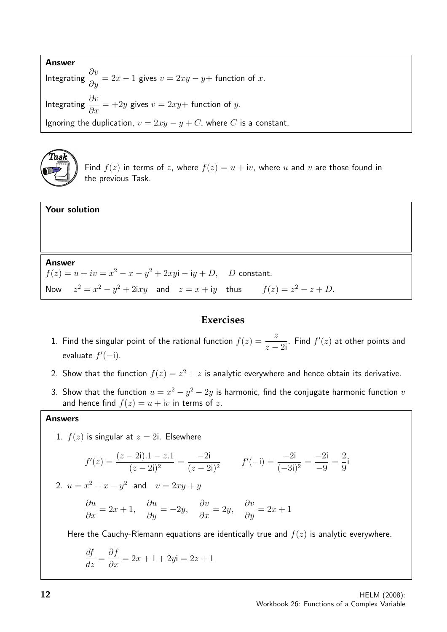Answer Integrating  $\frac{\partial v}{\partial y} = 2x - 1$  gives  $v = 2xy - y +$  function of  $x$ . Integrating  $\frac{\partial v}{\partial x}$  $\frac{\partial c}{\partial x}$  = +2y gives  $v = 2xy +$  function of y. Ignoring the duplication,  $v = 2xy - y + C$ , where C is a constant.



Find  $f(z)$  in terms of z, where  $f(z) = u + iv$ , where u and v are those found in the previous Task.

### Your solution

### Answer

 $f(z) = u + iv = x^2 - x - y^2 + 2xyi - iy + D$ , D constant. Now  $z^2 = x^2 - y^2 + 2ixy$  and  $z = x + iy$  thus  $f(z) = z^2 - z + D$ .

### **Exercises**

- 1. Find the singular point of the rational function  $f(z) = \frac{z}{z}$  $z - 2i$ . Find  $f'(z)$  at other points and evaluate  $f'(-i)$ .
- 2. Show that the function  $f(z) = z^2 + z$  is analytic everywhere and hence obtain its derivative.
- 3. Show that the function  $u = x^2 y^2 2y$  is harmonic, find the conjugate harmonic function v and hence find  $f(z) = u + iv$  in terms of z.

### Answers

1.  $f(z)$  is singular at  $z = 2i$ . Elsewhere

$$
f'(z) = \frac{(z-2i) \cdot 1 - z \cdot 1}{(z-2i)^2} = \frac{-2i}{(z-2i)^2} \qquad f'(-i) = \frac{-2i}{(-3i)^2} = \frac{-2i}{-9} = \frac{2}{9}i
$$

2.  $u = x^2 + x - y^2$  and  $v = 2xy + y$ 

$$
\frac{\partial u}{\partial x} = 2x + 1, \quad \frac{\partial u}{\partial y} = -2y, \quad \frac{\partial v}{\partial x} = 2y, \quad \frac{\partial v}{\partial y} = 2x + 1
$$

Here the Cauchy-Riemann equations are identically true and  $f(z)$  is analytic everywhere.

$$
\frac{df}{dz} = \frac{\partial f}{\partial x} = 2x + 1 + 2y\mathbf{i} = 2z + 1
$$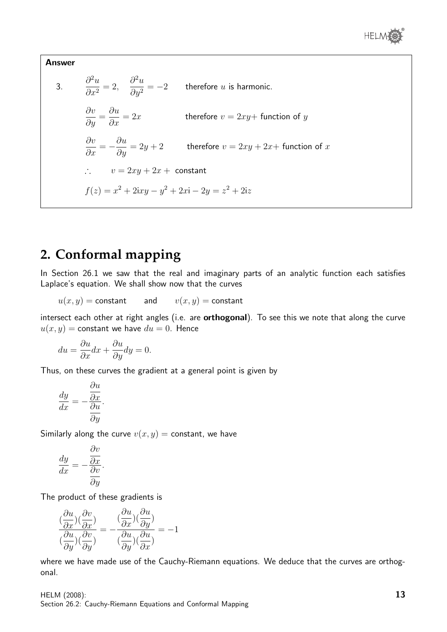

Answer  
\n3. 
$$
\frac{\partial^2 u}{\partial x^2} = 2, \quad \frac{\partial^2 u}{\partial y^2} = -2
$$
 therefore *u* is harmonic.  
\n
$$
\frac{\partial v}{\partial y} = \frac{\partial u}{\partial x} = 2x
$$
 therefore  $v = 2xy + \text{function of } y$   
\n
$$
\frac{\partial v}{\partial x} = -\frac{\partial u}{\partial y} = 2y + 2
$$
 therefore  $v = 2xy + 2x + \text{function of } x$   
\n $\therefore v = 2xy + 2x + \text{constant}$   
\n
$$
f(z) = x^2 + 2ixy - y^2 + 2x\mathbf{i} - 2y = z^2 + 2iz
$$

## **2. Conformal mapping**

In Section 26.1 we saw that the real and imaginary parts of an analytic function each satisfies Laplace's equation. We shall show now that the curves

$$
u(x,y) = {\mathsf{constant}} \qquad {\mathsf{and}} \qquad v(x,y) = {\mathsf{constant}}
$$

intersect each other at right angles (i.e. are **orthogonal**). To see this we note that along the curve  $u(x, y)$  = constant we have  $du = 0$ . Hence

$$
du = \frac{\partial u}{\partial x}dx + \frac{\partial u}{\partial y}dy = 0.
$$

Thus, on these curves the gradient at a general point is given by

$$
\frac{dy}{dx} = -\frac{\frac{\partial u}{\partial x}}{\frac{\partial u}{\partial y}}.
$$

Similarly along the curve  $v(x, y) =$  constant, we have

$$
\frac{dy}{dx} = -\frac{\frac{\partial v}{\partial x}}{\frac{\partial v}{\partial y}}.
$$

The product of these gradients is

$$
\frac{(\frac{\partial u}{\partial x})(\frac{\partial v}{\partial x})}{(\frac{\partial u}{\partial y})(\frac{\partial v}{\partial y})} = -\frac{(\frac{\partial u}{\partial x})(\frac{\partial u}{\partial y})}{(\frac{\partial u}{\partial y})(\frac{\partial u}{\partial x})} = -1
$$

where we have made use of the Cauchy-Riemann equations. We deduce that the curves are orthogonal.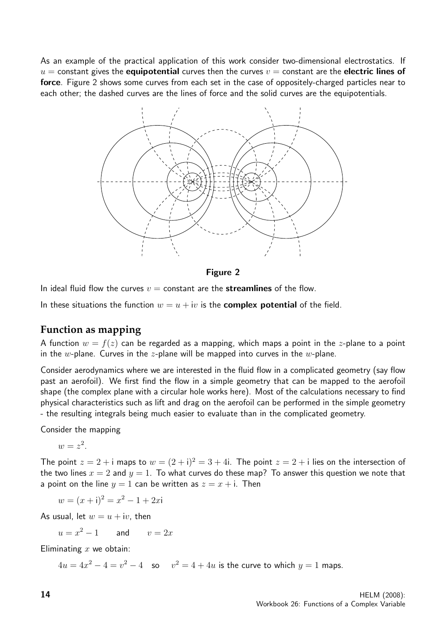As an example of the practical application of this work consider two-dimensional electrostatics. If  $u =$  constant gives the **equipotential** curves then the curves  $v =$  constant are the **electric lines of** force. Figure 2 shows some curves from each set in the case of oppositely-charged particles near to each other; the dashed curves are the lines of force and the solid curves are the equipotentials.



Figure 2

In ideal fluid flow the curves  $v =$  constant are the **streamlines** of the flow.

In these situations the function  $w = u + iv$  is the **complex potential** of the field.

### **Function as mapping**

A function  $w = f(z)$  can be regarded as a mapping, which maps a point in the z-plane to a point in the w-plane. Curves in the z-plane will be mapped into curves in the w-plane.

Consider aerodynamics where we are interested in the fluid flow in a complicated geometry (say flow past an aerofoil). We first find the flow in a simple geometry that can be mapped to the aerofoil shape (the complex plane with a circular hole works here). Most of the calculations necessary to find physical characteristics such as lift and drag on the aerofoil can be performed in the simple geometry - the resulting integrals being much easier to evaluate than in the complicated geometry.

Consider the mapping

$$
w=z^2.
$$

The point  $z = 2 + i$  maps to  $w = (2 + i)^2 = 3 + 4i$ . The point  $z = 2 + i$  lies on the intersection of the two lines  $x = 2$  and  $y = 1$ . To what curves do these map? To answer this question we note that a point on the line  $y = 1$  can be written as  $z = x + i$ . Then

$$
w = (x + i)^2 = x^2 - 1 + 2xi
$$

As usual, let  $w = u + iv$ , then

 $u = x^2 - 1$  and  $v = 2x$ 

Eliminating  $x$  we obtain:

 $4u=4x^2-4=v^2-4$  so  $v^2=4+4u$  is the curve to which  $y=1$  maps.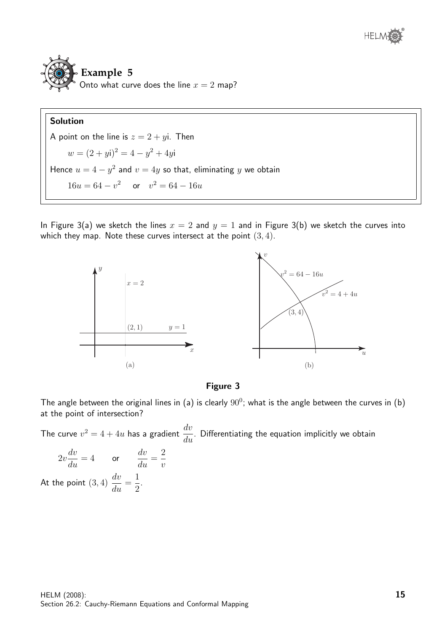

## **Example 5** Onto what curve does the line  $x = 2$  map?

### Solution

A point on the line is  $z = 2 + yi$ . Then  $w = (2 + yi)^2 = 4 - y^2 + 4yi$ Hence  $u = 4 - y^2$  and  $v = 4y$  so that, eliminating y we obtain  $16u = 64 - v^2$  or  $v^2 = 64 - 16u$ 

In Figure 3(a) we sketch the lines  $x = 2$  and  $y = 1$  and in Figure 3(b) we sketch the curves into which they map. Note these curves intersect at the point  $(3, 4)$ .



### Figure 3

The angle between the original lines in (a) is clearly  $90^0$ ; what is the angle between the curves in (b) at the point of intersection?

The curve  $v^2 = 4 + 4u$  has a gradient  $\frac{dv}{dt}$  $\frac{d\alpha}{du}$ . Differentiating the equation implicitly we obtain

$$
2v\frac{dv}{du} = 4 \qquad \text{or} \qquad \frac{dv}{du} = \frac{2}{v}
$$
  
At the point (3, 4)  $\frac{dv}{du} = \frac{1}{2}$ .

2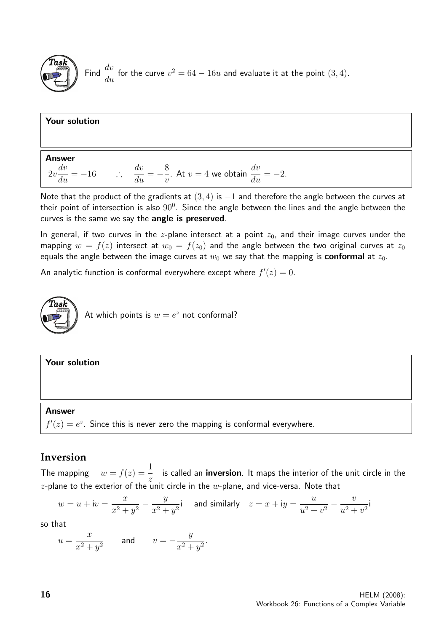

Find  $\frac{dv}{dt}$  $\frac{dv}{du}$  for the curve  $v^2 = 64 - 16u$  and evaluate it at the point  $(3, 4)$ .

### Your solution Answer  $2v$  $\frac{dv}{du} = -16$  ∴  $\frac{dv}{du} = -\frac{8}{v}$ . At  $v = 4$  we obtain  $\frac{dv}{du} = -2$ .

Note that the product of the gradients at  $(3, 4)$  is  $-1$  and therefore the angle between the curves at their point of intersection is also  $90^0$ . Since the angle between the lines and the angle between the curves is the same we say the angle is preserved.

In general, if two curves in the z-plane intersect at a point  $z_0$ , and their image curves under the mapping  $w = f(z)$  intersect at  $w_0 = f(z_0)$  and the angle between the two original curves at  $z_0$ equals the angle between the image curves at  $w_0$  we say that the mapping is **conformal** at  $z_0$ .

An analytic function is conformal everywhere except where  $f'(z) = 0$ .

 $\overline{v}$ 



### Your solution

### Answer

 $f'(z) = e^z$ . Since this is never zero the mapping is conformal everywhere.

### **Inversion**

The mapping  $w = f(z) = \frac{1}{z}$ z is called an inversion. It maps the interior of the unit circle in the  $z$ -plane to the exterior of the unit circle in the  $w$ -plane, and vice-versa. Note that

$$
w = u + iv = \frac{x}{x^2 + y^2} - \frac{y}{x^2 + y^2}i
$$
 and similarly  $z = x + iy = \frac{u}{u^2 + v^2} - \frac{v}{u^2 + v^2}i$ 

so that

$$
u = \frac{x}{x^2 + y^2} \qquad \text{and} \qquad v = -\frac{y}{x^2 + y^2}.
$$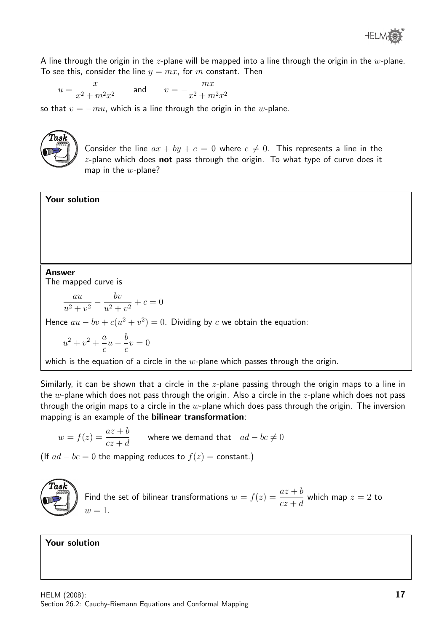A line through the origin in the z-plane will be mapped into a line through the origin in the  $w$ -plane. To see this, consider the line  $y = mx$ , for m constant. Then

$$
u = \frac{x}{x^2 + m^2 x^2}
$$
 and 
$$
v = -\frac{mx}{x^2 + m^2 x^2}
$$

so that  $v = -mu$ , which is a line through the origin in the w-plane.



Your solution

Consider the line  $ax + by + c = 0$  where  $c \neq 0$ . This represents a line in the  $z$ -plane which does not pass through the origin. To what type of curve does it map in the  $w$ -plane?

### Answer

The mapped curve is

$$
\frac{au}{u^2 + v^2} - \frac{bv}{u^2 + v^2} + c = 0
$$

Hence  $au - bv + c(u^2 + v^2) = 0$ . Dividing by c we obtain the equation:

$$
u^{2} + v^{2} + \frac{a}{c}u - \frac{b}{c}v = 0
$$

which is the equation of a circle in the  $w$ -plane which passes through the origin.

Similarly, it can be shown that a circle in the  $z$ -plane passing through the origin maps to a line in the w-plane which does not pass through the origin. Also a circle in the  $z$ -plane which does not pass through the origin maps to a circle in the  $w$ -plane which does pass through the origin. The inversion mapping is an example of the bilinear transformation:

$$
w = f(z) = \frac{az+b}{cz+d}
$$
 where we demand that  $ad - bc \neq 0$ 

(If  $ad - bc = 0$  the mapping reduces to  $f(z) = \text{constant}$ .)

$$
\left(\begin{matrix}\widehat{Task}\\\text{max}\end{matrix}\right)
$$

Find the set of bilinear transformations 
$$
w = f(z) = \frac{az+b}{cz+d}
$$
 which map  $z = 2$  to  $w = 1$ .

Your solution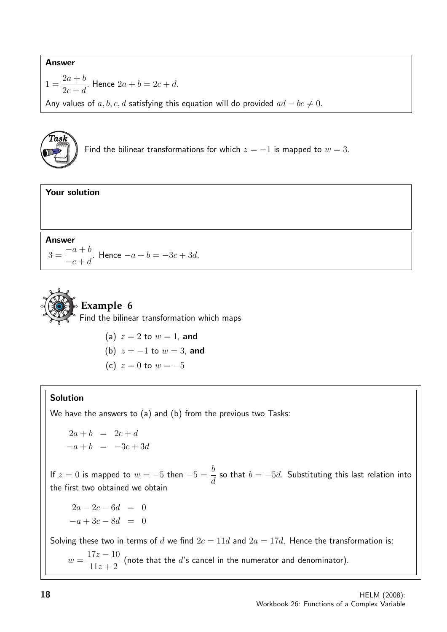### Answer

$$
1 = \frac{2a+b}{2c+d}.
$$
 Hence  $2a + b = 2c + d$ .

Any values of  $a, b, c, d$  satisfying this equation will do provided  $ad - bc \neq 0$ .

**Task**  
Find the bilinear transformations for which 
$$
z = -1
$$
 is mapped to  $w = 3$ .





(a)  $z = 2$  to  $w = 1$ , and (b)  $z = -1$  to  $w = 3$ , and (c)  $z = 0$  to  $w = -5$ 

### Solution

We have the answers to (a) and (b) from the previous two Tasks:

 $2a + b = 2c + d$  $-a + b = -3c + 3d$ 

If  $z = 0$  is mapped to  $w = -5$  then  $-5 = \frac{b}{10}$ d so that  $b = -5d$ . Substituting this last relation into the first two obtained we obtain

 $2a - 2c - 6d = 0$  $-a+3c-8d = 0$ 

Solving these two in terms of d we find  $2c = 11d$  and  $2a = 17d$ . Hence the transformation is:

 $w =$  $17z - 10$  $11z + 2$ (note that the  $d$ 's cancel in the numerator and denominator).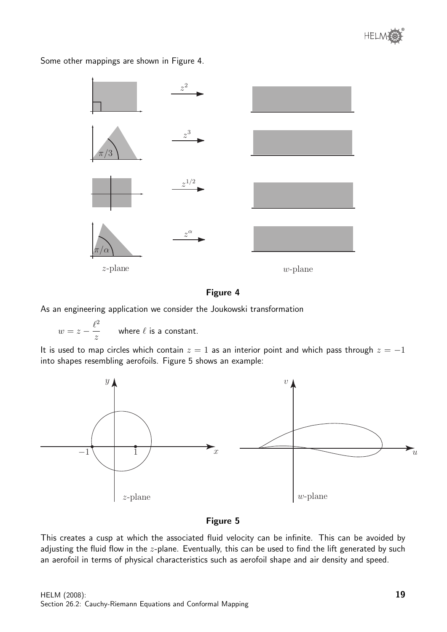

 $z^2$  $z^3$  $z^{1/2}$  $z^{\alpha}$  $\pi/3$  $\pi/\alpha$ z-plane w-plane

Some other mappings are shown in Figure 4.

### Figure 4

As an engineering application we consider the Joukowski transformation

 $w=z-\frac{\ell^2}{}$ z where  $\ell$  is a constant.

It is used to map circles which contain  $z = 1$  as an interior point and which pass through  $z = -1$ into shapes resembling aerofoils. Figure 5 shows an example:



### Figure 5

This creates a cusp at which the associated fluid velocity can be infinite. This can be avoided by adjusting the fluid flow in the  $z$ -plane. Eventually, this can be used to find the lift generated by such an aerofoil in terms of physical characteristics such as aerofoil shape and air density and speed.